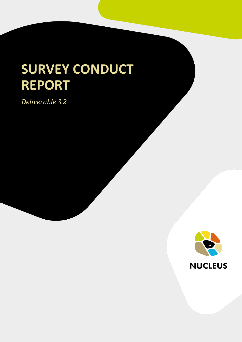# **SURVEY CONDUCT REPORT**

*Deliverable 3.2*

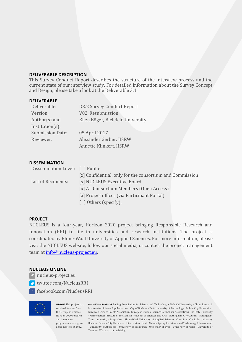#### **DELIVERABLE DESCRIPTION**

This Survey Conduct Report describes the structure of the interview process and the current state of our interview study. For detailed information about the Survey Concept and Design, please take a look at the Deliverable 3.1.

#### **DELIVERABLE**

| Deliverable:            | <b>D3.2 Survey Conduct Report</b> |
|-------------------------|-----------------------------------|
| Version:                | V02 Resubmission                  |
| Author(s) and           | Ellen Böger, Bielefeld University |
| $Institution(s)$ :      |                                   |
| <b>Submission Date:</b> | 05 April 2017                     |
| Reviewer:               | Alexander Gerber, HSRW            |
|                         | Annette Klinkert, HSRW            |

#### **DISSEMINATION**

| Dissemination Level: [ ] Public |                                                          |  |
|---------------------------------|----------------------------------------------------------|--|
|                                 | [x] Confidential, only for the consortium and Commission |  |
| List of Recipients:             | [x] NUCLEUS Executive Board                              |  |
|                                 | [x] All Consortium Members (Open Access)                 |  |
|                                 | [x] Project officer (via Participant Portal)             |  |
|                                 | [ ] Others (specify):                                    |  |

#### **PROJECT**

NUCLEUS is a four-year, Horizon 2020 project bringing Responsible Research and Innovation (RRI) to life in universities and research institutions. The project is coordinated by Rhine-Waal University of Applied Sciences. For more information, please visit the NUCLEUS website, follow our social media, or contact the project management team at [info@nucleus-project.eu.](mailto:info@nucleus-project.eu)

#### **NUCLEUS ONLINE**

- *P* nucleus-project.eu
- twitter.com/NucleusRRI
- facebook.com/NucleusRRI



received funding from the European Union's and innovation agreement No 664932.

**FUNDING** This project has **CONSORTIUM PARTNERS** Beijing Association for Science and Technology · Bielefeld University · China Research Horizon 2020 research • Mathematical Institute of the Serbian Academy of Sciences and Arts · Nottingham City Council · Nottingham programme under grant Bochum · Science City Hannover · Science View · South African Agency for Science and Technology Advancement Institute for Science Popularization · City of Bochum · Delft University of Technology · Dublin City University · European Science Events Association · European Union of Science Journalists' Associations · Ilia State University Trent University · Psiquadro · Rhine-Waal University of Applied Sciences (Coordinator) · Ruhr University · University of Aberdeen · University of Edinburgh · University of Lyon · University of Malta · University of Twente · Wissenschaft im Dialog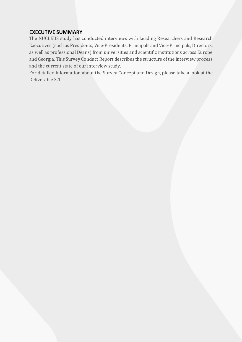## **EXECUTIVE SUMMARY**

The NUCLEUS study has conducted interviews with Leading Researchers and Research Executives (such as Presidents, Vice-Presidents, Principals and Vice-Principals, Directors, as well as professional Deans) from universities and scientific institutions across Europe and Georgia. This Survey Conduct Report describes the structure of the interview process and the current state of our interview study.

For detailed information about the Survey Concept and Design, please take a look at the Deliverable 3.1.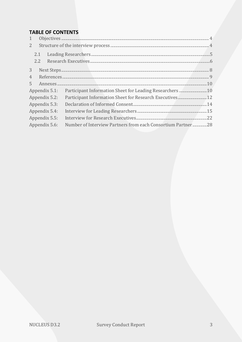# **TABLE OF CONTENTS**

| 1              |                                                             |
|----------------|-------------------------------------------------------------|
| $2^{\circ}$    |                                                             |
| 2.1            |                                                             |
| 2.2            |                                                             |
| 3 <sup>7</sup> |                                                             |
| $\overline{4}$ |                                                             |
| 5 <sup>1</sup> |                                                             |
| Appendix 5.1:  |                                                             |
| Appendix 5.2:  | Participant Information Sheet for Research Executives 12    |
| Appendix 5.3:  |                                                             |
| Appendix 5.4:  |                                                             |
| Appendix 5.5:  |                                                             |
| Appendix 5.6:  | Number of Interview Partners from each Consortium Partner28 |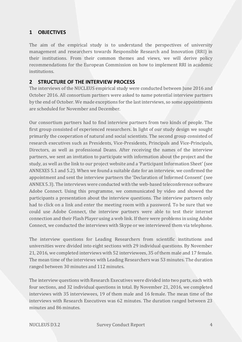## <span id="page-4-0"></span>**1 OBJECTIVES**

The aim of the empirical study is to understand the perspectives of university management and researchers towards Responsible Research and Innovation (RRI) in their institutions. From their common themes and views, we will derive policy recommendations for the European Commission on how to implement RRI in academic institutions.

#### <span id="page-4-1"></span>**2 STRUCTURE OF THE INTERVIEW PROCESS**

The interviews of the NUCLEUS empirical study were conducted between June 2016 and October 2016. All consortium partners were asked to name potential interview partners by the end of October. We made exceptions for the last interviews, so some appointments are scheduled for November and December.

Our consortium partners had to find interview partners from two kinds of people. The first group consisted of experienced researchers. In light of our study design we sought primarily the cooperation of natural and social scientists. The second group consisted of research executives such as Presidents, Vice-Presidents, Principals and Vice-Principals, Directors, as well as professional Deans. After receiving the names of the interview partners, we sent an invitation to participate with information about the project and the study, as well as the link to our project website and a 'Participant Information Sheet' (see ANNEXES 5.1 and 5.2). When we found a suitable date for an interview, we confirmed the appointment and sent the interview partners the 'Declaration of Informed Consent' (see ANNEX 5.3). The interviews were conducted with the web-based teleconference software Adobe Connect. Using this programme, we communicated by video and showed the participants a presentation about the interview questions. The interview partners only had to click on a link and enter the meeting room with a password. To be sure that we could use Adobe Connect, the interview partners were able to test their internet connection and their Flash Player using a web link. If there were problems in using Adobe Connect, we conducted the interviews with Skype or we interviewed them via telephone.

The interview questions for Leading Researchers from scientific institutions and universities were divided into eight sections with 29 individual questions. By November 21, 2016, we completed interviews with 52 interviewees, 35 of them male and 17 female. The mean time of the interviews with Leading Researchers was 53 minutes. The duration ranged between 30 minutes and 112 minutes.

The interview questions with Research Executives were divided into two parts, each with four sections, and 32 individual questions in total. By November 21, 2016, we completed interviews with 35 interviewees, 19 of them male and 16 female. The mean time of the interviews with Research Executives was 62 minutes. The duration ranged between 23 minutes and 86 minutes.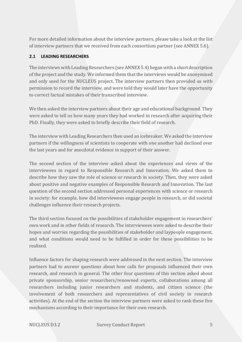For more detailed information about the interview partners, please take a look at the list of interview partners that we received from each consortium partner (see ANNEX 5.6).

## <span id="page-5-0"></span>**2.1 LEADING RESEARCHERS**

The interviews with Leading Researchers (see ANNEX 5.4) began with a short description of the project and the study. We informed them that the interviews would be anonymised and only used for the NUCLEUS project. The interview partners then provided us with permission to record the interview, and were told they would later have the opportunity to correct factual mistakes of their transcribed interview.

We then asked the interview partners about their age and educational background. They were asked to tell us how many years they had worked in research after acquiring their PhD. Finally, they were asked to briefly describe their field of research.

The interview with Leading Researchers then used an icebreaker. We asked the interview partners if the willingness of scientists to cooperate with one another had declined over the last years and for anecdotal evidence in support of their answer.

The second section of the interview asked about the experiences and views of the interviewees in regard to Responsible Research and Innovation. We asked them to describe how they saw the role of science or research in society. Then, they were asked about positive and negative examples of Responsible Research and Innovation. The last question of the second section addressed personal experiences with science or research in society: for example, how did interviewees engage people in research, or did societal challenges influence their research projects.

The third section focused on the possibilities of stakeholder engagement in researchers' own work and in other fields of research. The interviewees were asked to describe their hopes and worries regarding the possibilities of stakeholder and laypeople engagement, and what conditions would need to be fulfilled in order for these possibilities to be realised.

Influence factors for shaping research were addressed in the next section. The interview partners had to answer questions about how calls for proposals influenced their own research, and research in general. The other four questions of this section asked about private sponsorship, senior researchers/renowned experts, collaborations among all researchers including junior researchers and students, and citizen science (the involvement of both researchers and representatives of civil society in research activities). At the end of the section the interview partners were asked to rank these five mechanisms according to their importance for their own research.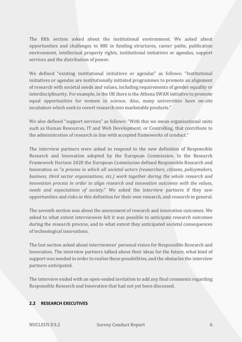The fifth section asked about the institutional environment. We asked about opportunities and challenges to RRI in funding structures, career paths, publication environment, intellectual property rights, institutional initiatives or agendas, support services and the distribution of power.

We defined "existing institutional initiatives or agendas" as follows: "Institutional initiatives or agendas are institutionally initiated programmes to promote an alignment of research with societal needs and values, including requirements of gender equality or interdisciplinarity. For example, in the UK there is the Athena SWAN initiative to promote equal opportunities for women in science. Also, many universities have on-site incubators which seek to covert research into marketable products."

We also defined "support services" as follows: "With this we mean organisational units such as Human Resources, IT and Web Development, or Controlling, that contribute to the administration of research in line with accepted frameworks of conduct."

The interview partners were asked to respond to the new definition of Responsible Research and Innovation adopted by the European Commission. In the Research Framework Horizon 2020 the European Commission defined Responsible Research and Innovation as "*a process in which all societal actors (researchers, citizens, policymakers, business, third sector organisations, etc.) work together during the whole research and innovation process in order to align research and innovation outcomes with the values, needs and expectations of society*." We asked the interview partners if they saw opportunities and risks in this definition for their own research, and research in general.

The seventh section was about the assessment of research and innovation outcomes. We asked to what extent interviewees felt it was possible to anticipate research outcomes during the research process, and to what extent they anticipated societal consequences of technological innovations.

The last section asked about interviewees' personal vision for Responsible Research and Innovation. The interview partners talked about their ideas for the future, what kind of support was needed in order to realise these possibilities, and the obstacles the interview partners anticipated.

The interview ended with an open-ended invitation to add any final comments regarding Responsible Research and Innovation that had not yet been discussed.

## <span id="page-6-0"></span>**2.2 RESEARCH EXECUTIVES**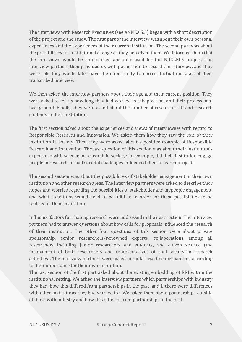The interviews with Research Executives (see ANNEX 5.5) began with a short description of the project and the study. The first part of the interview was about their own personal experiences and the experiences of their current institution. The second part was about the possibilities for institutional change as they perceived them. We informed them that the interviews would be anonymised and only used for the NUCLEUS project. The interview partners then provided us with permission to record the interview, and they were told they would later have the opportunity to correct factual mistakes of their transcribed interview.

We then asked the interview partners about their age and their current position. They were asked to tell us how long they had worked in this position, and their professional background. Finally, they were asked about the number of research staff and research students in their institution.

The first section asked about the experiences and views of interviewees with regard to Responsible Research and Innovation. We asked them how they saw the role of their institution in society. Then they were asked about a positive example of Responsible Research and Innovation. The last question of this section was about their institution's experience with science or research in society: for example, did their institution engage people in research, or had societal challenges influenced their research projects.

The second section was about the possibilities of stakeholder engagement in their own institution and other research areas. The interview partners were asked to describe their hopes and worries regarding the possibilities of stakeholder and laypeople engagement, and what conditions would need to be fulfilled in order for these possibilities to be realised in their institution.

Influence factors for shaping research were addressed in the next section. The interview partners had to answer questions about how calls for proposals influenced the research of their institution. The other four questions of this section were about private sponsorship, senior researchers/renowned experts, collaborations among all researchers including junior researchers and students, and citizen science (the involvement of both researchers and representatives of civil society in research activities). The interview partners were asked to rank these five mechanisms according to their importance for their own institution.

The last section of the first part asked about the existing embedding of RRI within the institutional setting. We asked the interview partners which partnerships with industry they had, how this differed from partnerships in the past, and if there were differences with other institutions they had worked for. We asked them about partnerships outside of those with industry and how this differed from partnerships in the past.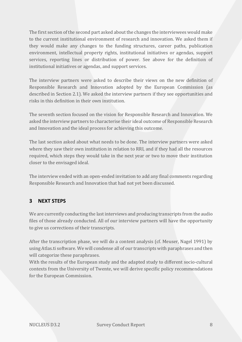The first section of the second part asked about the changes the interviewees would make to the current institutional environment of research and innovation. We asked them if they would make any changes to the funding structures, career paths, publication environment, intellectual property rights, institutional initiatives or agendas, support services, reporting lines or distribution of power. See above for the definition of institutional initiatives or agendas, and support services.

The interview partners were asked to describe their views on the new definition of Responsible Research and Innovation adopted by the European Commission (as described in Section 2.1). We asked the interview partners if they see opportunities and risks in this definition in their own institution.

The seventh section focused on the vision for Responsible Research and Innovation. We asked the interview partners to characterise their ideal outcome of Responsible Research and Innovation and the ideal process for achieving this outcome.

The last section asked about what needs to be done. The interview partners were asked where they saw their own institution in relation to RRI, and if they had all the resources required, which steps they would take in the next year or two to move their institution closer to the envisaged ideal.

The interview ended with an open-ended invitation to add any final comments regarding Responsible Research and Innovation that had not yet been discussed.

# <span id="page-8-0"></span>**3 NEXT STEPS**

We are currently conducting the last interviews and producing transcripts from the audio files of those already conducted. All of our interview partners will have the opportunity to give us corrections of their transcripts.

After the transcription phase, we will do a content analysis (cf. Meuser, Nagel 1991) by using Atlas.ti software. We will condense all of our transcripts with paraphrases and then will categorize these paraphrases.

With the results of the European study and the adapted study to different socio-cultural contexts from the University of Twente, we will derive specific policy recommendations for the European Commission.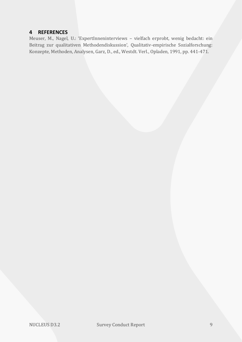## <span id="page-9-0"></span>**4 REFERENCES**

Meuser, M., Nagel, U.: 'ExpertInneninterviews – vielfach erprobt, wenig bedacht: ein Beitrag zur qualitativen Methodendiskussion', Qualitativ-empirische Sozialforschung: Konzepte, Methoden, Analysen, Garz, D., ed., Westdt. Verl., Opladen, 1991, pp. 441-471.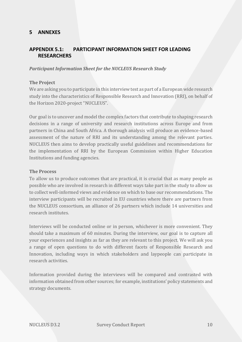## <span id="page-10-0"></span>**5 ANNEXES**

## <span id="page-10-1"></span>**APPENDIX 5.1: PARTICIPANT INFORMATION SHEET FOR LEADING RESEARCHERS**

#### *Participant Information Sheet for the NUCLEUS Research Study*

#### **The Project**

We are asking you to participate in this interview test as part of a European wide research study into the characteristics of Responsible Research and Innovation (RRI), on behalf of the Horizon 2020-project "NUCLEUS".

Our goal is to uncover and model the complex factors that contribute to shaping research decisions in a range of university and research institutions across Europe and from partners in China and South Africa. A thorough analysis will produce an evidence-based assessment of the nature of RRI and its understanding among the relevant parties. NUCLEUS then aims to develop practically useful guidelines and recommendations for the implementation of RRI by the European Commission within Higher Education Institutions and funding agencies.

#### **The Process**

To allow us to produce outcomes that are practical, it is crucial that as many people as possible who are involved in research in different ways take part in the study to allow us to collect well-informed views and evidence on which to base our recommendations. The interview participants will be recruited in EU countries where there are partners from the NUCLEUS consortium, an alliance of 26 partners which include 14 universities and research institutes.

Interviews will be conducted online or in person, whichever is more convenient. They should take a maximum of 60 minutes. During the interview, our goal is to capture all your experiences and insights as far as they are relevant to this project. We will ask you a range of open questions to do with different facets of Responsible Research and Innovation, including ways in which stakeholders and laypeople can participate in research activities.

Information provided during the interviews will be compared and contrasted with information obtained from other sources; for example, institutions' policy statements and strategy documents.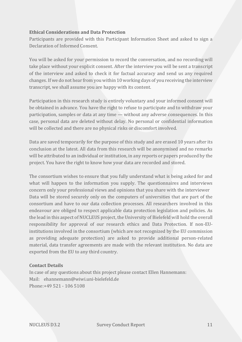#### **Ethical Considerations and Data Protection**

Participants are provided with this Participant Information Sheet and asked to sign a Declaration of Informed Consent.

You will be asked for your permission to record the conversation, and no recording will take place without your explicit consent. After the interview you will be sent a transcript of the interview and asked to check it for factual accuracy and send us any required changes. If we do not hear from you within 10 working days of you receiving the interview transcript, we shall assume you are happy with its content.

Participation in this research study is entirely voluntary and your informed consent will be obtained in advance. You have the right to refuse to participate and to withdraw your participation, samples or data at any time — without any adverse consequences. In this case, personal data are deleted without delay. No personal or confidential information will be collected and there are no physical risks or discomfort involved.

Data are saved temporarily for the purpose of this study and are erased 10 years after its conclusion at the latest. All data from this research will be anonymised and no remarks will be attributed to an individual or institution, in any reports or papers produced by the project. You have the right to know how your data are recorded and stored.

The consortium wishes to ensure that you fully understand what is being asked for and what will happen to the information you supply. The questionnaires and interviews concern only your professional views and opinions that you share with the interviewer Data will be stored securely only on the computers of universities that are part of the consortium and have to our data collection processes. All researchers involved in this endeavour are obliged to respect applicable data protection legislation and policies. As the lead in this aspect of NUCLEUS project, the University of Bielefeld will hold the overall responsibility for approval of our research ethics and Data Protection. If non-EUinstitutions involved in the consortium (which are not recognized by the EU commission as providing adequate protection) are asked to provide additional person-related material, data transfer agreements are made with the relevant institution. No data are exported from the EU to any third country.

#### **Contact Details**

In case of any questions about this project please contact Ellen Hannemann: Mail: ehannemann@wiwi.uni-bielefeld.de Phone:+49 521 - 106 5108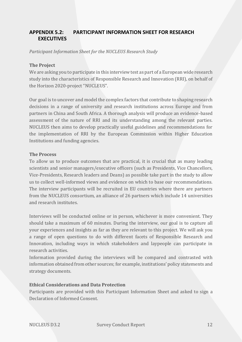## <span id="page-12-0"></span>**APPENDIX 5.2: PARTICIPANT INFORMATION SHEET FOR RESEARCH EXECUTIVES**

*Participant Information Sheet for the NUCLEUS Research Study*

#### **The Project**

We are asking you to participate in this interview test as part of a European wide research study into the characteristics of Responsible Research and Innovation (RRI), on behalf of the Horizon 2020-project "NUCLEUS".

Our goal is to uncover and model the complex factors that contribute to shaping research decisions in a range of university and research institutions across Europe and from partners in China and South Africa. A thorough analysis will produce an evidence-based assessment of the nature of RRI and its understanding among the relevant parties. NUCLEUS then aims to develop practically useful guidelines and recommendations for the implementation of RRI by the European Commission within Higher Education Institutions and funding agencies.

#### **The Process**

To allow us to produce outcomes that are practical, it is crucial that as many leading scientists and senior managers/executive officers (such as Presidents, Vice Chancellors, Vice-Presidents, Research leaders and Deans) as possible take part in the study to allow us to collect well-informed views and evidence on which to base our recommendations. The interview participants will be recruited in EU countries where there are partners from the NUCLEUS consortium, an alliance of 26 partners which include 14 universities and research institutes.

Interviews will be conducted online or in person, whichever is more convenient. They should take a maximum of 60 minutes. During the interview, our goal is to capture all your experiences and insights as far as they are relevant to this project. We will ask you a range of open questions to do with different facets of Responsible Research and Innovation, including ways in which stakeholders and laypeople can participate in research activities.

Information provided during the interviews will be compared and contrasted with information obtained from other sources; for example, institutions' policy statements and strategy documents.

#### **Ethical Considerations and Data Protection**

Participants are provided with this Participant Information Sheet and asked to sign a Declaration of Informed Consent.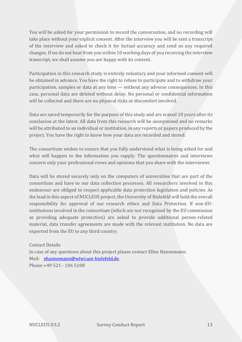You will be asked for your permission to record the conversation, and no recording will take place without your explicit consent. After the interview you will be sent a transcript of the interview and asked to check it for factual accuracy and send us any required changes. If we do not hear from you within 10 working days of you receiving the interview transcript, we shall assume you are happy with its content.

Participation in this research study is entirely voluntary and your informed consent will be obtained in advance. You have the right to refuse to participate and to withdraw your participation, samples or data at any time — without any adverse consequences. In this case, personal data are deleted without delay. No personal or confidential information will be collected and there are no physical risks or discomfort involved.

Data are saved temporarily for the purpose of this study and are erased 10 years after its conclusion at the latest. All data from this research will be anonymised and no remarks will be attributed to an individual or institution, in any reports or papers produced by the project. You have the right to know how your data are recorded and stored.

The consortium wishes to ensure that you fully understand what is being asked for and what will happen to the information you supply. The questionnaires and interviews concern only your professional views and opinions that you share with the interviewer.

Data will be stored securely only on the computers of universities that are part of the consortium and have to our data collection processes. All researchers involved in this endeavour are obliged to respect applicable data protection legislation and policies. As the lead in this aspect of NUCLEUS project, the University of Bielefeld will hold the overall responsibility for approval of our research ethics and Data Protection. If non-EUinstitutions involved in the consortium (which are not recognized by the EU commission as providing adequate protection) are asked to provide additional person-related material, data transfer agreements are made with the relevant institution. No data are exported from the EU to any third country.

Contact Details In case of any questions about this project please contact Ellen Hannemann: Mail: [ehannemann@wiwi.uni-bielefeld.de.](mailto:ehannemann@wiwi.uni-bielefeld.de) Phone:+49 521 - 106 5108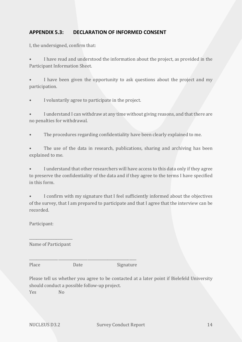## <span id="page-14-0"></span>**APPENDIX 5.3: DECLARATION OF INFORMED CONSENT**

I, the undersigned, confirm that:

• I have read and understood the information about the project, as provided in the Participant Information Sheet.

I have been given the opportunity to ask questions about the project and my participation.

• I voluntarily agree to participate in the project.

I understand I can withdraw at any time without giving reasons, and that there are no penalties for withdrawal.

The procedures regarding confidentiality have been clearly explained to me.

The use of the data in research, publications, sharing and archiving has been explained to me.

• I understand that other researchers will have access to this data only if they agree to preserve the confidentiality of the data and if they agree to the terms I have specified in this form.

I confirm with my signature that I feel sufficiently informed about the objectives of the survey, that I am prepared to participate and that I agree that the interview can be recorded.

Participant:

\_\_\_\_\_\_\_\_\_\_\_\_\_\_\_\_\_\_\_\_\_\_\_\_ Name of Participant

Place Date Date Signature

\_\_\_\_\_\_\_\_\_\_\_\_\_\_\_\_\_\_\_\_\_\_\_\_\_\_\_\_\_\_\_\_\_\_\_\_\_\_\_\_\_\_\_\_\_\_\_\_\_\_\_\_\_\_\_\_\_\_\_

Please tell us whether you agree to be contacted at a later point if Bielefeld University should conduct a possible follow-up project. Yes No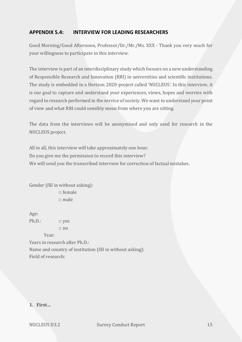## <span id="page-15-0"></span>**APPENDIX 5.4: INTERVIEW FOR LEADING RESEARCHERS**

Good Morning/Good Afternoon, Professor/Dr./Mr./Ms. XXX - Thank you very much for your willingness to participate in this interview.

The interview is part of an interdisciplinary study which focuses on a new understanding of Responsible Research and Innovation (RRI) in universities and scientific institutions. The study is embedded in a Horizon 2020-project called 'NUCLEUS'. In this interview, it is our goal to capture and understand your experiences, views, hopes and worries with regard to research performed in the service of society. We want to understand your point of view and what RRI could sensibly mean from where you are sitting.

The data from the interviews will be anonymised and only used for research in the NUCLEUS project.

All in all, this interview will take approximately one hour. Do you give me the permission to record this interview? We will send you the transcribed interview for correction of factual mistakes.

Gender (fill in without asking):  $\Box$  female  $\Box$  male

Age: Ph.D.:  $\Box$  yes  $\Box$  no

Year: Years in research after Ph.D.: Name and country of institution (fill in without asking): Field of research:

**1. First…**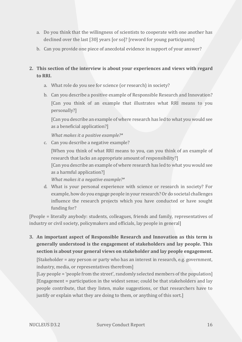- a. Do you think that the willingness of scientists to cooperate with one another has declined over the last [30] years [or so]? [reword for young participants]
- b. Can you provide one piece of anecdotal evidence in support of your answer?

# **2. This section of the interview is about your experiences and views with regard to RRI.**

- a. What role do you see for science (or research) in society?
- b. Can you describe a positive example of Responsible Research and Innovation? [Can you think of an example that illustrates what RRI means to you personally?]

[Can you describe an example of where research has led to what you would see as a beneficial application?]

*What makes it a positive example?\** 

c. Can you describe a negative example?

[When you think of what RRI means to you, can you think of an example of research that lacks an appropriate amount of responsibility?]

[Can you describe an example of where research has led to what you would see as a harmful application?]

*What makes it a negative example?\**

d. What is your personal experience with science or research in society? For example, how do you engage people in your research? Or do societal challenges influence the research projects which you have conducted or have sought funding for?

[People = literally anybody: students, colleagues, friends and family, representatives of industry or civil society, policymakers and officials, lay people in general]

**3. An important aspect of Responsible Research and Innovation as this term is generally understood is the engagement of stakeholders and lay people. This section is about your general views on stakeholder and lay people engagement.**

[Stakeholder = any person or party who has an interest in research, e.g. government, industry, media, or representatives therefrom]

[Lay people = 'people from the street', randomly selected members of the population] [Engagement = participation in the widest sense; could be that stakeholders and lay people contribute, that they listen, make suggestions, or that researchers have to justify or explain what they are doing to them, or anything of this sort.]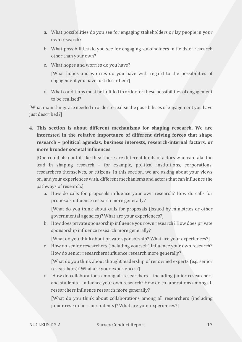- a. What possibilities do you see for engaging stakeholders or lay people in your own research?
- b. What possibilities do you see for engaging stakeholders in fields of research other than your own?
- c. What hopes and worries do you have? [What hopes and worries do you have with regard to the possibilities of engagement you have just described?]
- d. What conditions must be fulfilled in order for these possibilities of engagement to be realised?

[What main things are needed in order to realise the possibilities of engagement you have just described?]

**4. This section is about different mechanisms for shaping research. We are interested in the relative importance of different driving forces that shape research – political agendas, business interests, research-internal factors, or more broader societal influences.**

[One could also put it like this: There are different kinds of actors who can take the lead in shaping research – for example, political institutions, corporations, researchers themselves, or citizens. In this section, we are asking about your views on, and your experiences with, different mechanisms and actors that can influence the pathways of research.]

a. How do calls for proposals influence your own research? How do calls for proposals influence research more generally?

[What do you think about calls for proposals (issued by ministries or other governmental agencies)? What are your experiences?]

b. How does private sponsorship influence your own research? How does private sponsorship influence research more generally?

[What do you think about private sponsorship? What are your experiences?]

c. How do senior researchers (including yourself) influence your own research? How do senior researchers influence research more generally?

[What do you think about thought leadership of renowned experts (e.g. senior researchers)? What are your experiences?]

d. How do collaborations among all researchers – including junior researchers and students – influence your own research? How do collaborations among all researchers influence research more generally?

[What do you think about collaborations among all researchers (including junior researchers or students)? What are your experiences?]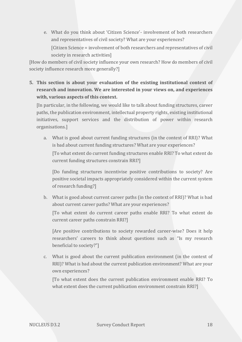e. What do you think about 'Citizen Science'- involvement of both researchers and representatives of civil society? What are your experiences?

[Citizen Science = involvement of both researchers and representatives of civil society in research activities]

[How do members of civil society influence your own research? How do members of civil society influence research more generally?]

**5. This section is about your evaluation of the existing institutional context of research and innovation. We are interested in your views on, and experiences with, various aspects of this context.**

[In particular, in the following, we would like to talk about funding structures, career paths, the publication environment, intellectual property rights, existing institutional initiatives, support services and the distribution of power within research organisations.]

a. What is good about current funding structures (in the context of RRI)? What is bad about current funding structures? What are your experiences? [To what extent do current funding structures enable RRI? To what extent do current funding structures constrain RRI?]

[Do funding structures incentivise positive contributions to society? Are positive societal impacts appropriately considered within the current system of research funding?]

b. What is good about current career paths (in the context of RRI)? What is bad about current career paths? What are your experiences?

[To what extent do current career paths enable RRI? To what extent do current career paths constrain RRI?]

[Are positive contributions to society rewarded career-wise? Does it help researchers' careers to think about questions such as "Is my research beneficial to society?"]

c. What is good about the current publication environment (in the context of RRI)? What is bad about the current publication environment? What are your own experiences?

[To what extent does the current publication environment enable RRI? To what extent does the current publication environment constrain RRI?]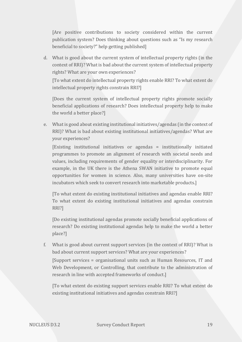[Are positive contributions to society considered within the current publication system? Does thinking about questions such as "Is my research beneficial to society?" help getting published]

d. What is good about the current system of intellectual property rights (in the context of RRI)? What is bad about the current system of intellectual property rights? What are your own experiences?

[To what extent do intellectual property rights enable RRI? To what extent do intellectual property rights constrain RRI?]

[Does the current system of intellectual property rights promote socially beneficial applications of research? Does intellectual property help to make the world a better place?]

e. What is good about existing institutional initiatives/agendas (in the context of RRI)? What is bad about existing institutional initiatives/agendas? What are your experiences?

[Existing institutional initiatives or agendas = institutionally initiated programmes to promote an alignment of research with societal needs and values, including requirements of gender equality or interdisciplinarity. For example, in the UK there is the Athena SWAN initiative to promote equal opportunities for women in science. Also, many universities have on-site incubators which seek to convert research into marketable products.]

[To what extent do existing institutional initiatives and agendas enable RRI? To what extent do existing institutional initiatives and agendas constrain RRI?]

[Do existing institutional agendas promote socially beneficial applications of research? Do existing institutional agendas help to make the world a better place?]

f. What is good about current support services (in the context of RRI)? What is bad about current support services? What are your experiences?

[Support services = organisational units such as Human Resources, IT and Web Development, or Controlling, that contribute to the administration of research in line with accepted frameworks of conduct.]

[To what extent do existing support services enable RRI? To what extent do existing institutional initiatives and agendas constrain RRI?]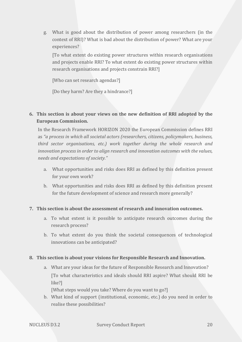g. What is good about the distribution of power among researchers (in the context of RRI)? What is bad about the distribution of power? What are your experiences?

[To what extent do existing power structures within research organisations and projects enable RRI? To what extent do existing power structures within research organisations and projects constrain RRI?]

[Who can set research agendas?]

[Do they harm? Are they a hindrance?]

## **6. This section is about your views on the new definition of RRI adopted by the European Commission.**

In the Research Framework HORIZON 2020 the European Commission defines RRI as *"a process in which all societal actors (researchers, citizens, policymakers, business, third sector organisations, etc.) work together during the whole research and innovation process in order to align research and innovation outcomes with the values, needs and expectations of society."*

- a. What opportunities and risks does RRI as defined by this definition present for your own work?
- b. What opportunities and risks does RRI as defined by this definition present for the future development of science and research more generally?

## **7. This section is about the assessment of research and innovation outcomes.**

- a. To what extent is it possible to anticipate research outcomes during the research process?
- b. To what extent do you think the societal consequences of technological innovations can be anticipated?

#### **8. This section is about your visions for Responsible Research and Innovation.**

a. What are your ideas for the future of Responsible Research and Innovation? [To what characteristics and ideals should RRI aspire? What should RRI be like?]

[What steps would you take? Where do you want to go?]

b. What kind of support (institutional, economic, etc.) do you need in order to realise these possibilities?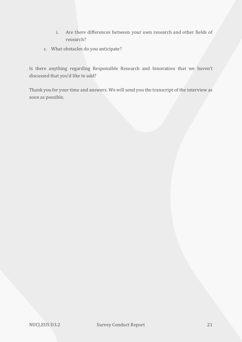- i. Are there differences between your own research and other fields of research?
- c. What obstacles do you anticipate?

Is there anything regarding Responsible Research and Innovation that we haven't discussed that you'd like to add?

Thank you for your time and answers. We will send you the transcript of the interview as soon as possible.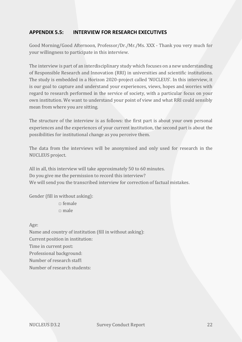## <span id="page-22-0"></span>**APPENDIX 5.5: INTERVIEW FOR RESEARCH EXECUTIVES**

Good Morning/Good Afternoon, Professor/Dr./Mr./Ms. XXX - Thank you very much for your willingness to participate in this interview.

The interview is part of an interdisciplinary study which focuses on a new understanding of Responsible Research and Innovation (RRI) in universities and scientific institutions. The study is embedded in a Horizon 2020-project called 'NUCLEUS'. In this interview, it is our goal to capture and understand your experiences, views, hopes and worries with regard to research performed in the service of society, with a particular focus on your own institution. We want to understand your point of view and what RRI could sensibly mean from where you are sitting.

The structure of the interview is as follows: the first part is about your own personal experiences and the experiences of your current institution, the second part is about the possibilities for institutional change as you perceive them.

The data from the interviews will be anonymised and only used for research in the NUCLEUS project.

All in all, this interview will take approximately 50 to 60 minutes. Do you give me the permission to record this interview? We will send you the transcribed interview for correction of factual mistakes.

Gender (fill in without asking):

 $\Box$  female  $\Box$  male

Age:

Name and country of institution (fill in without asking): Current position in institution: Time in current post: Professional background: Number of research staff: Number of research students: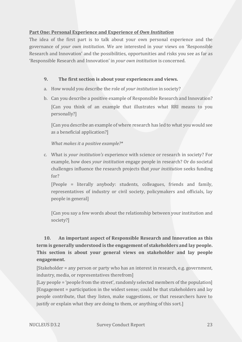#### **Part One: Personal Experience and Experience of** *Own Institution*

The idea of the first part is to talk about your own personal experience and the governance of *your own institution*. We are interested in your views on 'Responsible Research and Innovation' and the possibilities, opportunities and risks you see as far as 'Responsible Research and Innovation' in *your own institution* is concerned.

### **9. The first section is about your experiences and views.**

- a. How would you describe the role of *your institution* in society?
- b. Can you describe a positive example of Responsible Research and Innovation? [Can you think of an example that illustrates what RRI means to you personally?]

[Can you describe an example of where research has led to what you would see as a beneficial application?]

*What makes it a positive example?\** 

c. What is *your institution's* experience with science or research in society? For example, how does *your institution* engage people in research? Or do societal challenges influence the research projects that *your institution* seeks funding for?

[People = literally anybody: students, colleagues, friends and family, representatives of industry or civil society, policymakers and officials, lay people in general]

[Can you say a few words about the relationship between your institution and society?]

# **10. An important aspect of Responsible Research and Innovation as this term is generally understood is the engagement of stakeholders and lay people. This section is about your general views on stakeholder and lay people engagement.**

[Stakeholder = any person or party who has an interest in research, e.g. government, industry, media, or representatives therefrom]

[Lay people = 'people from the street', randomly selected members of the population] [Engagement = participation in the widest sense; could be that stakeholders and lay people contribute, that they listen, make suggestions, or that researchers have to justify or explain what they are doing to them, or anything of this sort.]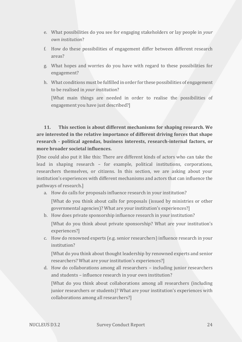- e. What possibilities do you see for engaging stakeholders or lay people in *your own institution*?
- f. How do these possibilities of engagement differ between different research areas?
- g. What hopes and worries do you have with regard to these possibilities for engagement?
- h. What conditions must be fulfilled in order for these possibilities of engagement to be realised in *your institution*?

[What main things are needed in order to realise the possibilities of engagement you have just described?]

# **11. This section is about different mechanisms for shaping research. We are interested in the relative importance of different driving forces that shape research - political agendas, business interests, research-internal factors, or more broader societal influences.**

[One could also put it like this: There are different kinds of actors who can take the lead in shaping research – for example, political institutions, corporations, researchers themselves, or citizens. In this section, we are asking about your institution's experiences with different mechanisms and actors that can influence the pathways of research.]

a. How do calls for proposals influence research in your institution?

[What do you think about calls for proposals (issued by ministries or other governmental agencies)? What are your institution's experiences?]

- b. How does private sponsorship influence research in your institution? [What do you think about private sponsorship? What are your institution's experiences?]
- c. How do renowned experts (e.g. senior researchers) influence research in your institution?

[What do you think about thought leadership by renowned experts and senior researchers? What are your institution's experiences?]

d. How do collaborations among all researchers – including junior researchers and students – influence research in your own institution?

[What do you think about collaborations among all researchers (including junior researchers or students)? What are your institution's experiences with collaborations among all researchers?]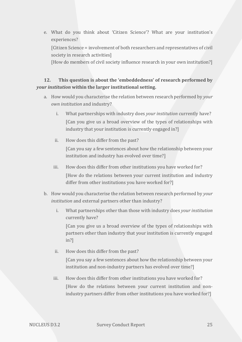e. What do you think about 'Citizen Science'? What are your institution's experiences? [Citizen Science = involvement of both researchers and representatives of civil society in research activities]

[How do members of civil society influence research in your own institution?]

# **12. This question is about the 'embeddedness' of research performed by**  *your institution* **within the larger institutional setting.**

- a. How would you characterise the relation between research performed by *your own institution* and industry?
	- i. What partnerships with industry does *your institution* currently have? [Can you give us a broad overview of the types of relationships with industry that your institution is currently engaged in?]
	- ii. How does this differ from the past? [Can you say a few sentences about how the relationship between your institution and industry has evolved over time?]
	- iii. How does this differ from other institutions you have worked for? [How do the relations between your current institution and industry differ from other institutions you have worked for?]
- b. How would you characterise the relation between research performed by *your institution* and external partners other than industry?
	- i. What partnerships other than those with industry does *your institution* currently have?

[Can you give us a broad overview of the types of relationships with partners other than industry that your institution is currently engaged in?]

ii. How does this differ from the past?

[Can you say a few sentences about how the relationship between your institution and non-industry partners has evolved over time?]

iii. How does this differ from other institutions you have worked for? [How do the relations between your current institution and nonindustry partners differ from other institutions you have worked for?]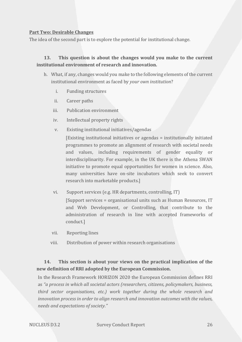#### **Part Two: Desirable Changes**

The idea of the second part is to explore the potential for institutional change.

## **13. This question is about the changes would you make to the current institutional environment of research and innovation.**

- h. What, if any, changes would you make to the following elements of the current institutional environment as faced by *your own institution*?
	- i. Funding structures
	- ii. Career paths
	- iii. Publication environment
	- iv. Intellectual property rights
	- v. Existing institutional initiatives/agendas

[Existing institutional initiatives or agendas = institutionally initiated programmes to promote an alignment of research with societal needs and values, including requirements of gender equality or interdisciplinarity. For example, in the UK there is the Athena SWAN initiative to promote equal opportunities for women in science. Also, many universities have on-site incubators which seek to convert research into marketable products.]

vi. Support services (e.g. HR departments, controlling, IT)

[Support services = organisational units such as Human Resources, IT and Web Development, or Controlling, that contribute to the administration of research in line with accepted frameworks of conduct.]

- vii. Reporting lines
- viii. Distribution of power within research organisations

# **14. This section is about your views on the practical implication of the new definition of RRI adopted by the European Commission.**

In the Research Framework HORIZON 2020 the European Commission defines RRI as *"a process in which all societal actors (researchers, citizens, policymakers, business, third sector organisations, etc.) work together during the whole research and innovation process in order to align research and innovation outcomes with the values, needs and expectations of society."*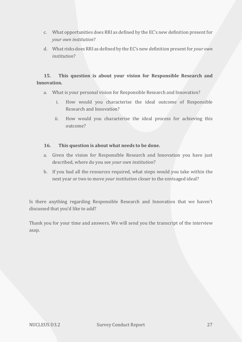- c. What opportunities does RRI as defined by the EC's new definition present for *your own institution*?
- d. What risks does RRI as defined by the EC's new definition present for *your own institution*?

# **15. This question is about your vision for Responsible Research and Innovation.**

- a. What is your personal vision for Responsible Research and Innovation?
	- i. How would you characterise the ideal outcome of Responsible Research and Innovation?
	- ii. How would you characterise the ideal process for achieving this outcome?

#### **16. This question is about what needs to be done.**

- a. Given the vision for Responsible Research and Innovation you have just described, where do you see *your own institution*?
- b. If you had all the resources required, what steps would you take within the next year or two to move *your institution* closer to the envisaged ideal?

Is there anything regarding Responsible Research and Innovation that we haven't discussed that you'd like to add?

Thank you for your time and answers. We will send you the transcript of the interview asap.